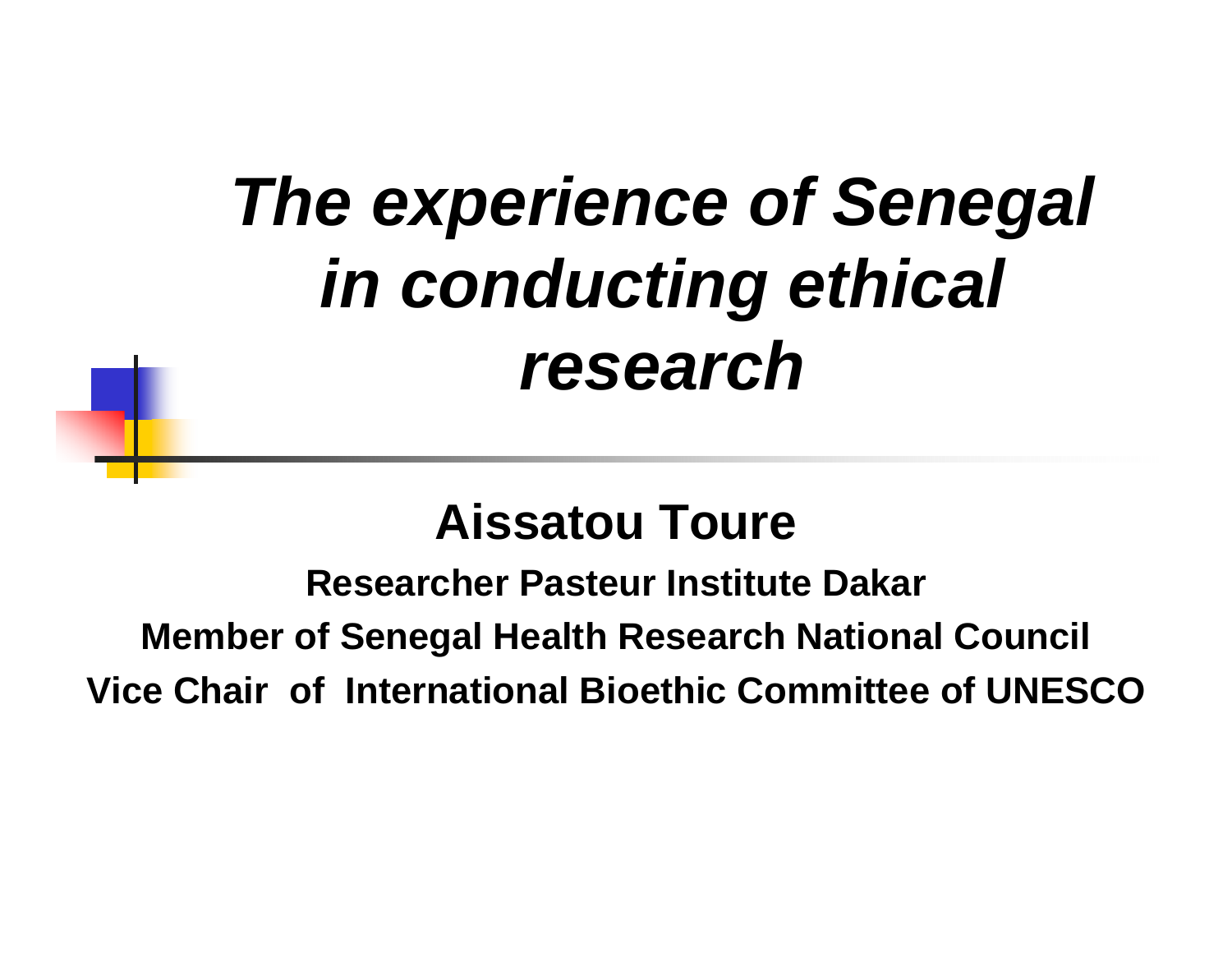# *The experience of Senegal in conducting ethical research*

## **Aissatou Toure**

**Researcher Pasteur Institute DakarMember of Senegal Health Research National Council Vice Chair of International Bioethic Committee of UNESCO**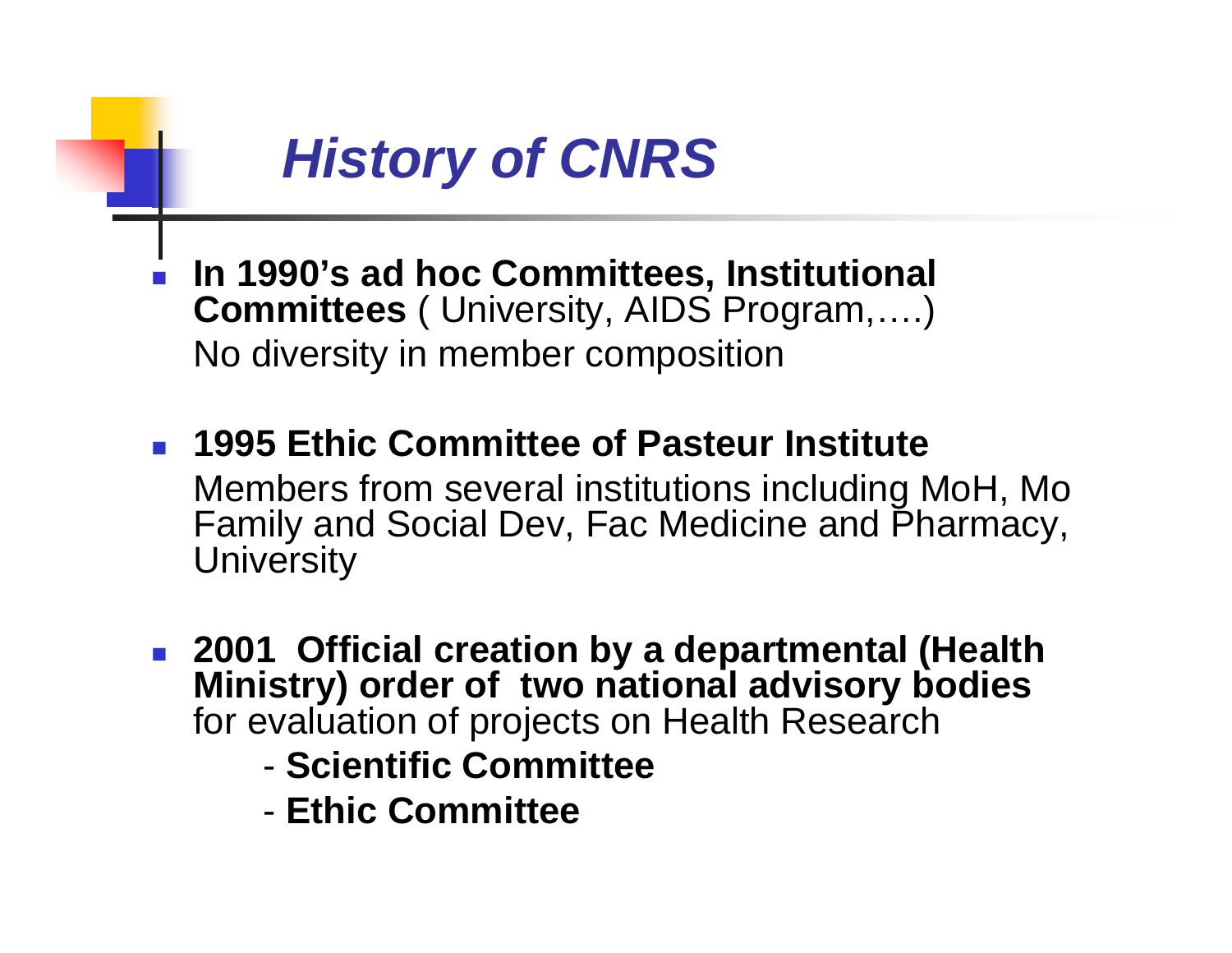## *History of CNRS*

- П **In 1990's ad hoc Committees, Institutional Committees** ( University, AIDS Program,….) No diversity in member composition
- **1995 Ethic Committee of Pasteur Institute** Members from several institutions including MoH, Mo Family and Social Dev, Fac Medicine and Pharmacy, **University**
- **2001 Official creation by a departmental (Health Ministry) order of two national advisory bodies** for evaluation of projects on Health Research
	- **Scientific Committee**
	- **Ethic Committee**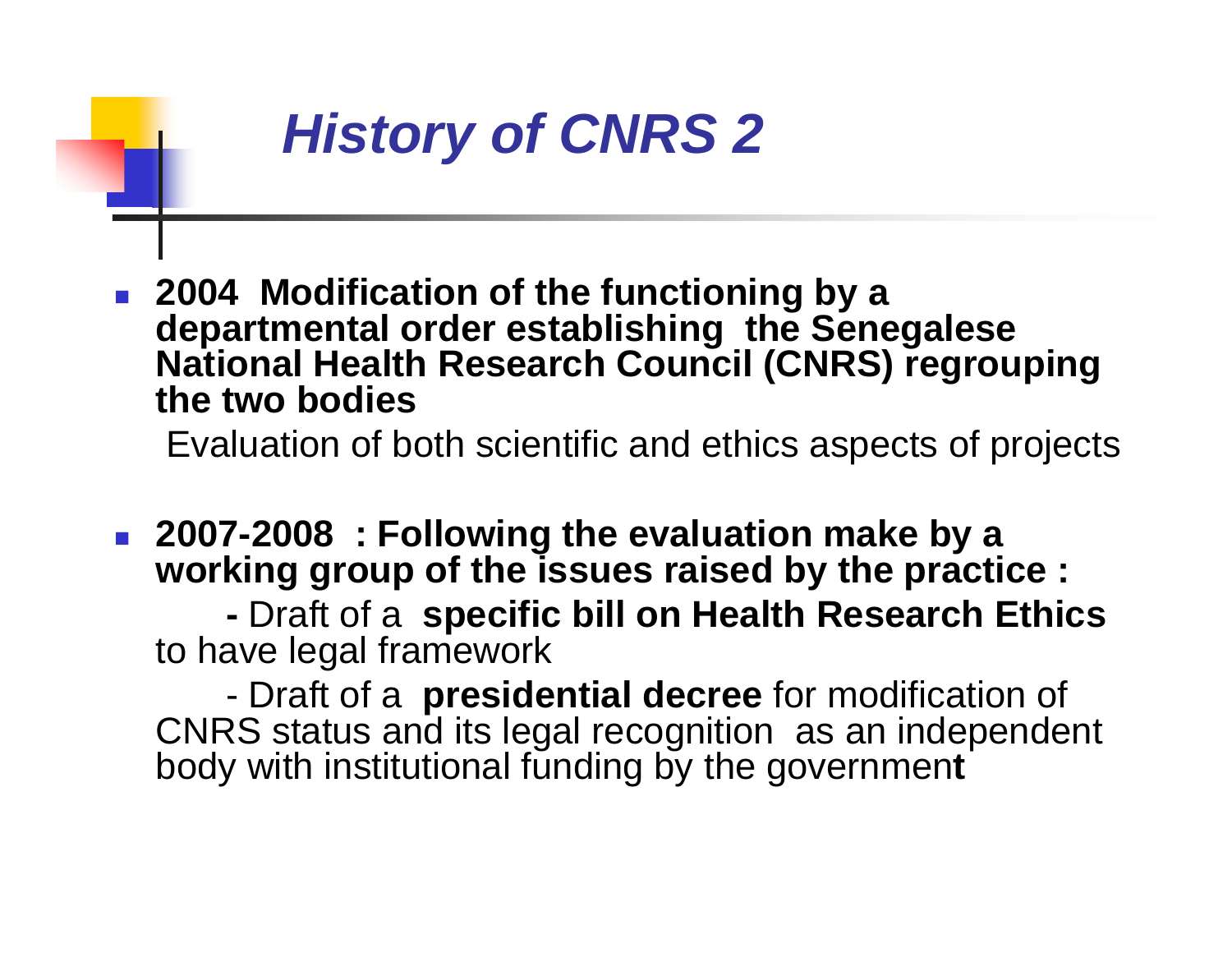

 **2004 Modification of the functioning by a departmental order establishing the Senegalese National Health Research Council (CNRS) regrouping the two bodies**

Evaluation of both scientific and ethics aspects of projects

 **2007-2008 : Following the evaluation make by a working group of the issues raised by the practice :** 

 Draft of a **specific bill on Health Research Ethics** to have legal framework

- Draft of a **presidential decree** for modification of CNRS status and its legal recognition as an independent body with institutional funding by the governmen **t**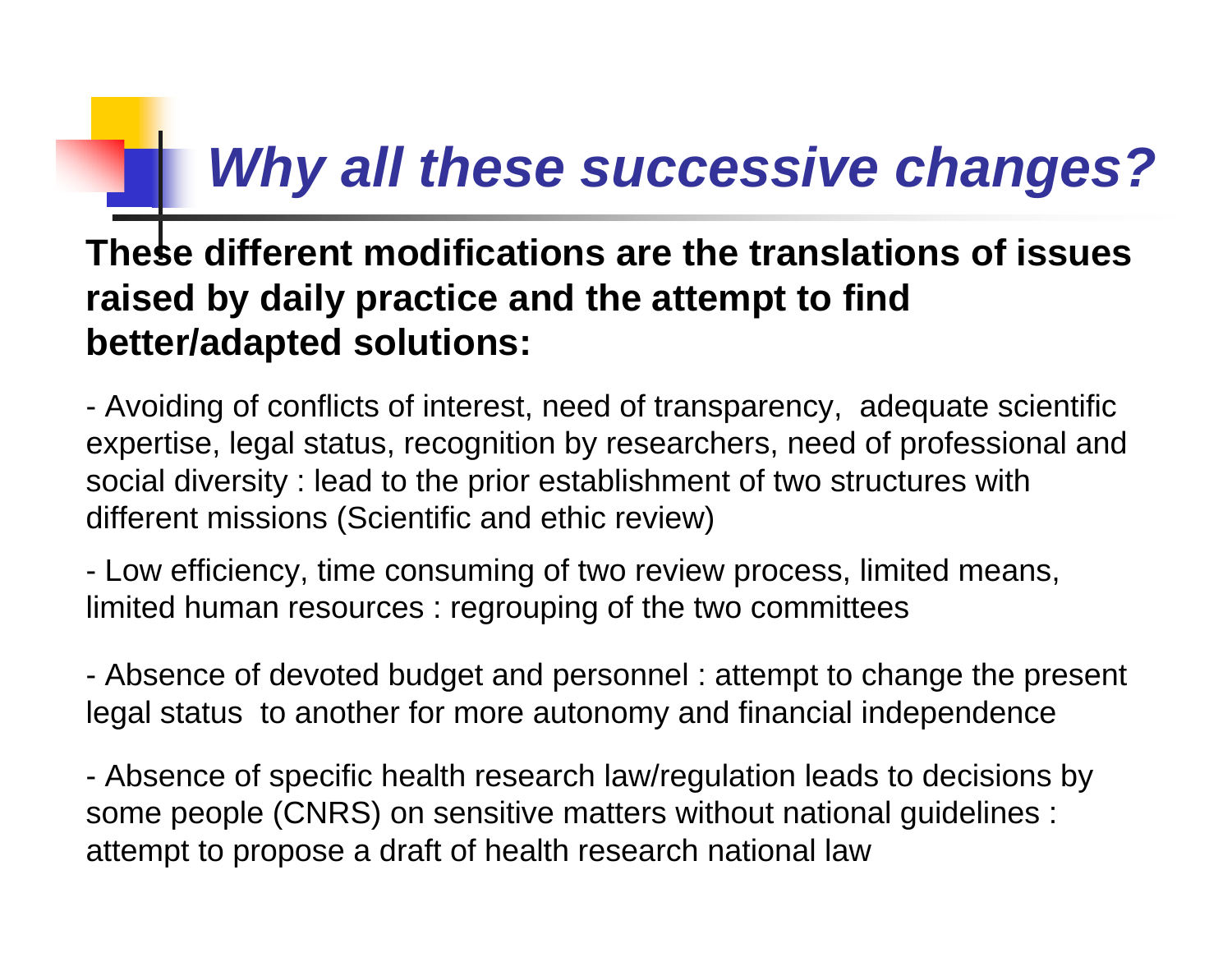# *Why all these successive changes?*

#### **These different modifications are the translations of issues raised by daily practice and the attempt to find better/adapted solutions:**

- Avoiding of conflicts of interest, need of transparency, adequate scientific expertise, legal status, recognition by researchers, need of professional and social diversity : lead to the prior establishment of two structures with different missions (Scientific and ethic review)

- Low efficiency, time consuming of two review process, limited means, limited human resources : regrouping of the two committees

 Absence of devoted budget and personnel : attempt to change the present legal status to another for more autonomy and financial independence

- Absence of specific health research law/regulation leads to decisions by some people (CNRS) on sensitive matters without national guidelines : attempt to propose a draft of health research national law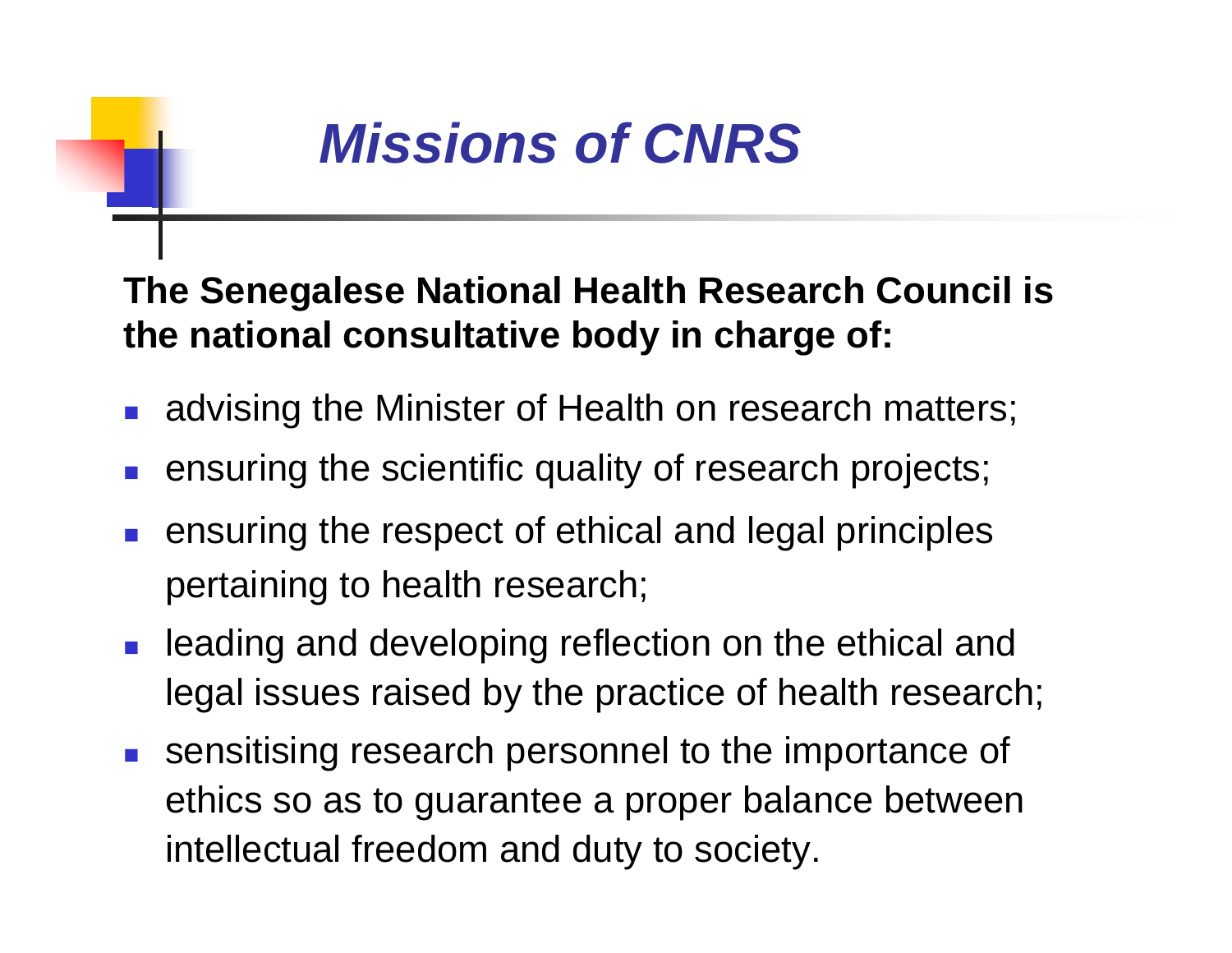

#### **The Senegalese National Health Research Council is the national consultative body in charge of:**

- **advising the Minister of Health on research matters;**
- П ensuring the scientific quality of research projects;
- ensuring the respect of ethical and legal principles pertaining to health research;
- $\mathcal{L}_{\mathcal{A}}$  leading and developing reflection on the ethical and legal issues raised by the practice of health research;
- **Sensitising research personnel to the importance of** ethics so as to guarantee a proper balance between intellectual freedom and duty to society.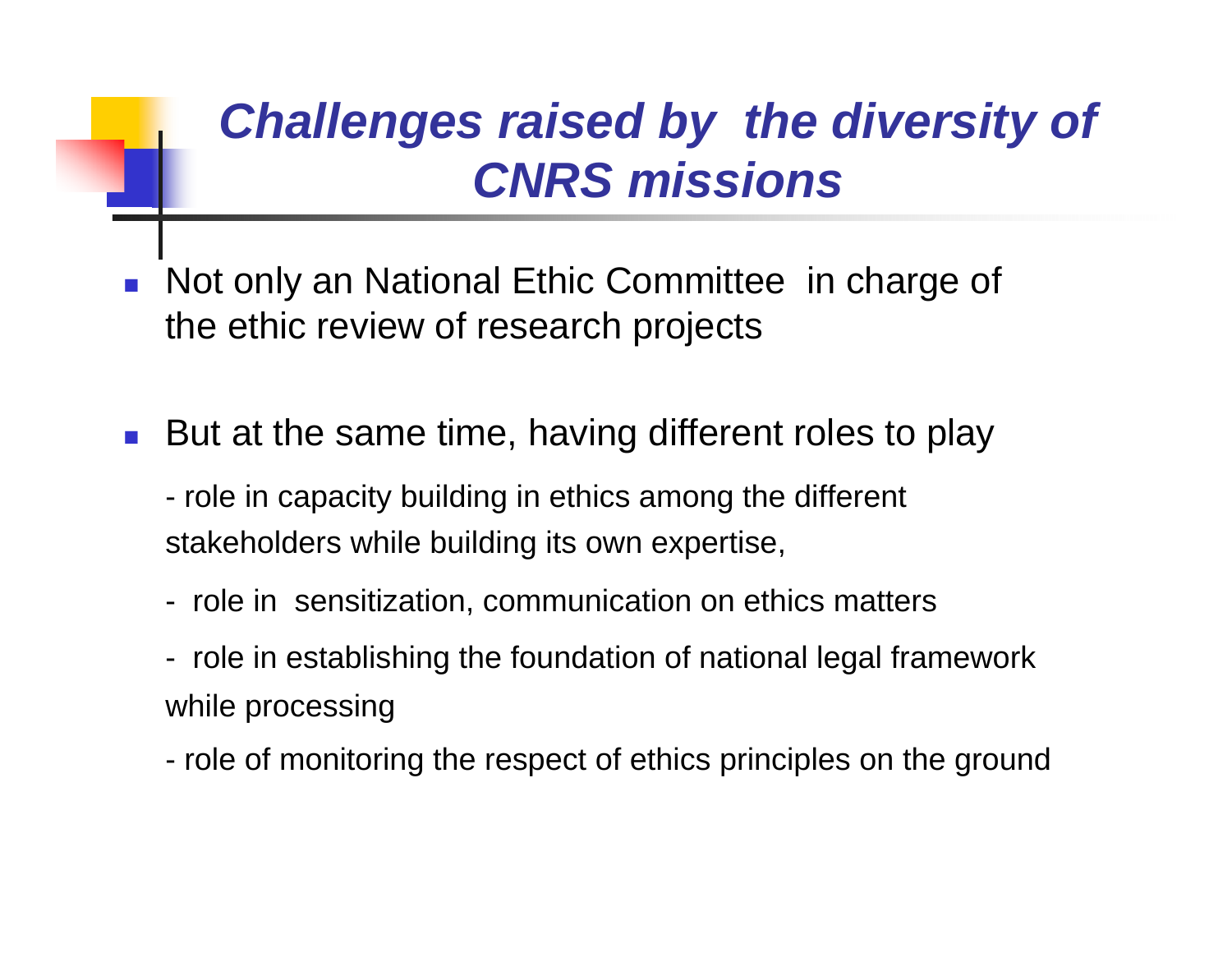## *Challenges raised by the diversity of CNRS missions*

- $\mathbb{R}^3$  Not only an National Ethic Committee in charge of the ethic review of research projects
- But at the same time, having different roles to play
	- role in capacity building in ethics among the different stakeholders while building its own expertise,
	- role in sensitization, communication on ethics matters
	- role in establishing the foundation of national legal framework while processing
	- role of monitoring the respect of ethics principles on the ground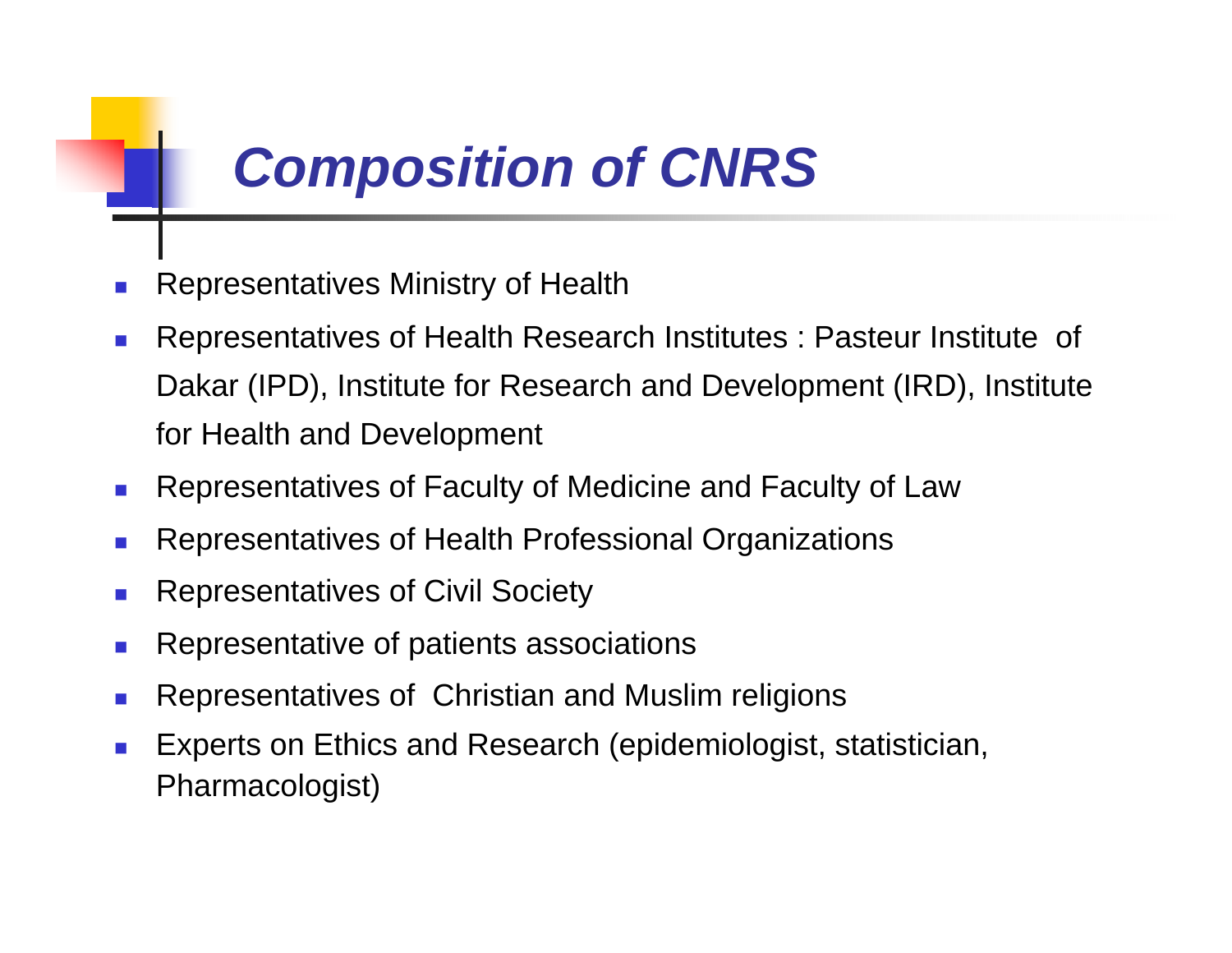## *Composition of CNRS*

- Representatives Ministry of Health
- $\mathcal{L}_{\mathcal{A}}$  Representatives of Health Research Institutes : Pasteur Institute of Dakar (IPD), Institute for Research and Development (IRD), Institute for Health and Development
- $\mathcal{L}^{\mathcal{L}}$ Representatives of Faculty of Medicine and Faculty of Law
- $\mathcal{A}$ Representatives of Health Professional Organizations
- $\mathcal{A}$ Representatives of Civil Society
- $\mathcal{L}_{\mathcal{A}}$ Representative of patients associations
- Representatives of Christian and Muslim religions
- $\sim 1$  Experts on Ethics and Research (epidemiologist, statistician, Pharmacologist)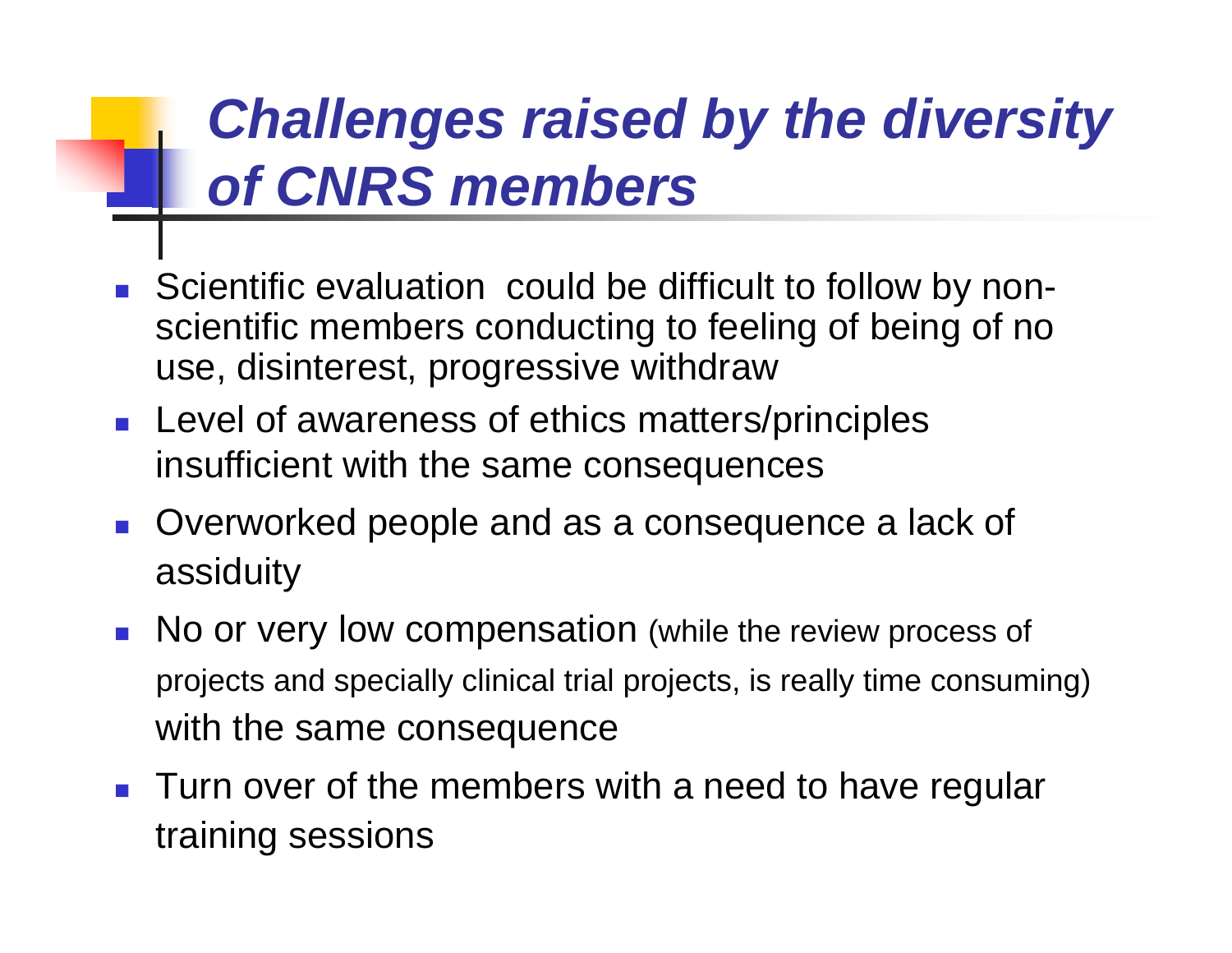## *Challenges raised by the diversity of CNRS members*

- **Scientific evaluation could be difficult to follow by non**scientific members conducting to feeling of being of no use, disinterest, progressive withdraw
- **Level of awareness of ethics matters/principles** insufficient with the same consequences
- **Overworked people and as a consequence a lack of** assiduity
- No or very low compensation (while the review process of projects and specially clinical trial projects, is really time consuming) with the same consequence
- **Turn over of the members with a need to have regular** training sessions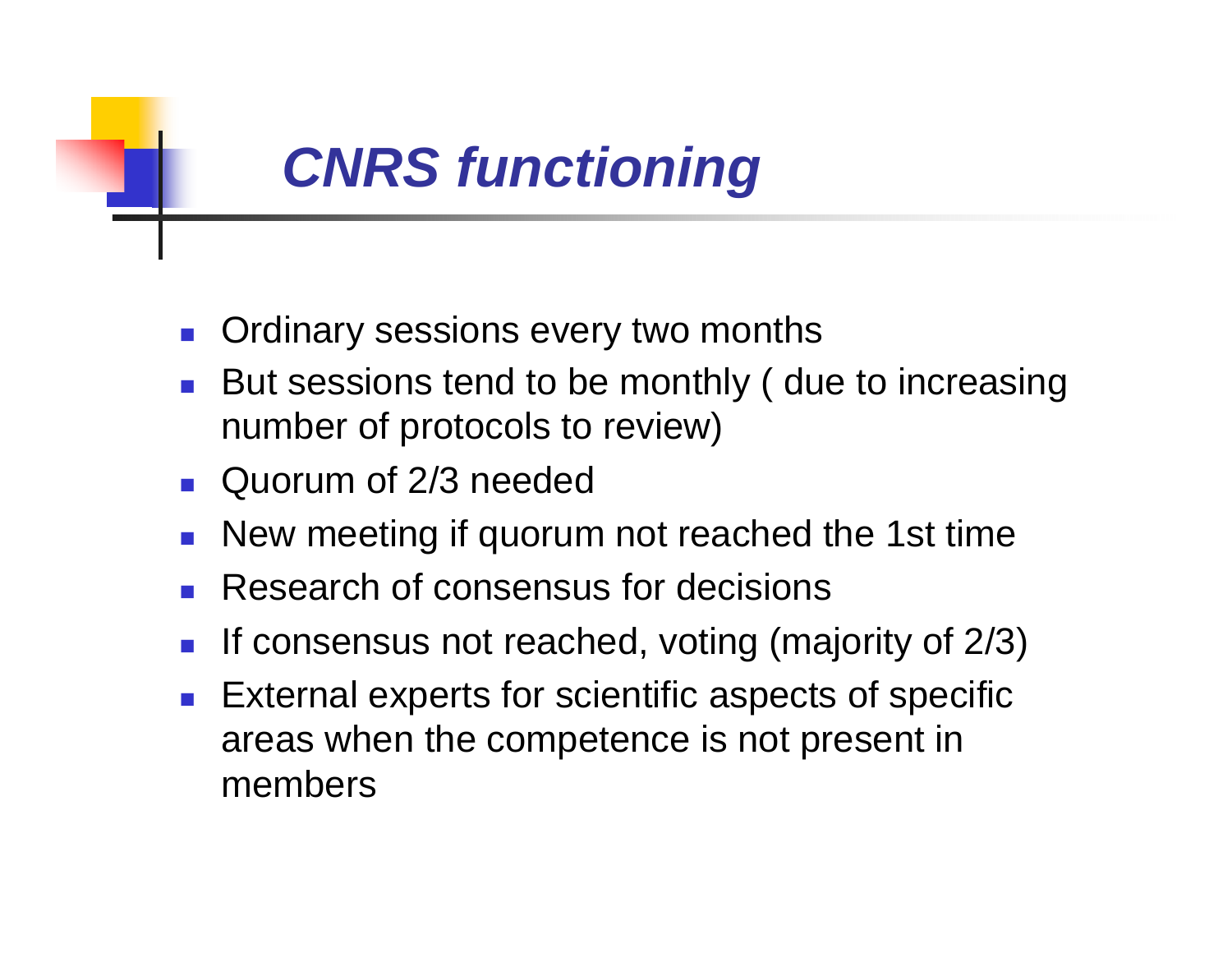

- П Ordinary sessions every two months
- П But sessions tend to be monthly ( due to increasing number of protocols to review)
- **Quorum of 2/3 needed**
- New meeting if quorum not reached the 1st time
- **Research of consensus for decisions**
- П If consensus not reached, voting (majority of 2/3)
- П External experts for scientific aspects of specific areas when the competence is not present in members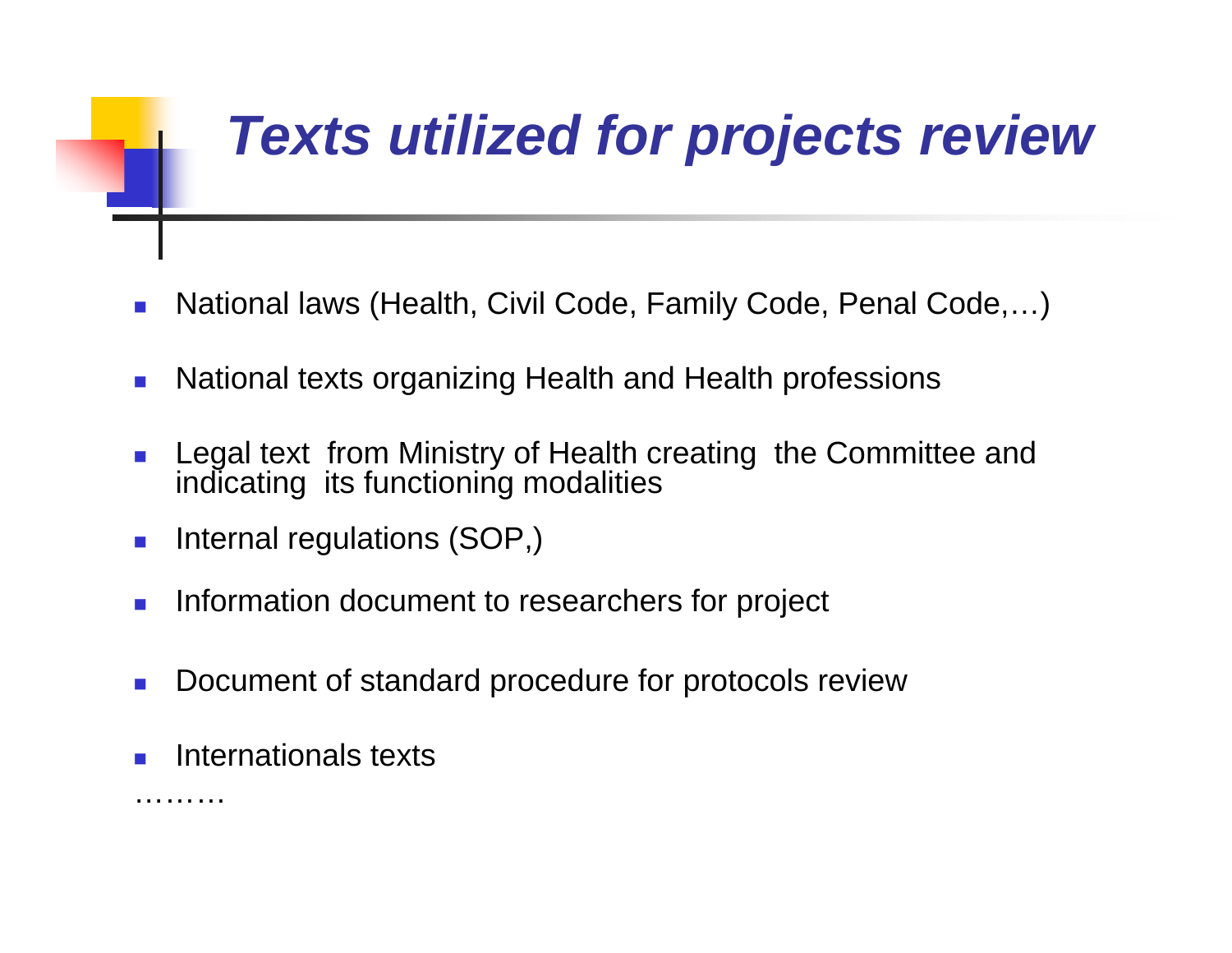# *Texts utilized for projects review*

- $\mathcal{C}^{\mathcal{A}}$ National laws (Health, Civil Code, Family Code, Penal Code,…)
- $\mathcal{C}^{\mathcal{A}}$ National texts organizing Health and Health professions
- $\mathcal{C}^{\mathcal{A}}$  Legal text from Ministry of Health creating the Committee and indicating its functioning modalities
- $\mathcal{C}^{\mathcal{A}}$ Internal regulations (SOP,)
- $\mathcal{C}^{\mathcal{A}}$ Information document to researchers for project
- $\mathcal{L}_{\mathcal{A}}$ Document of standard procedure for protocols review
- П Internationals texts

………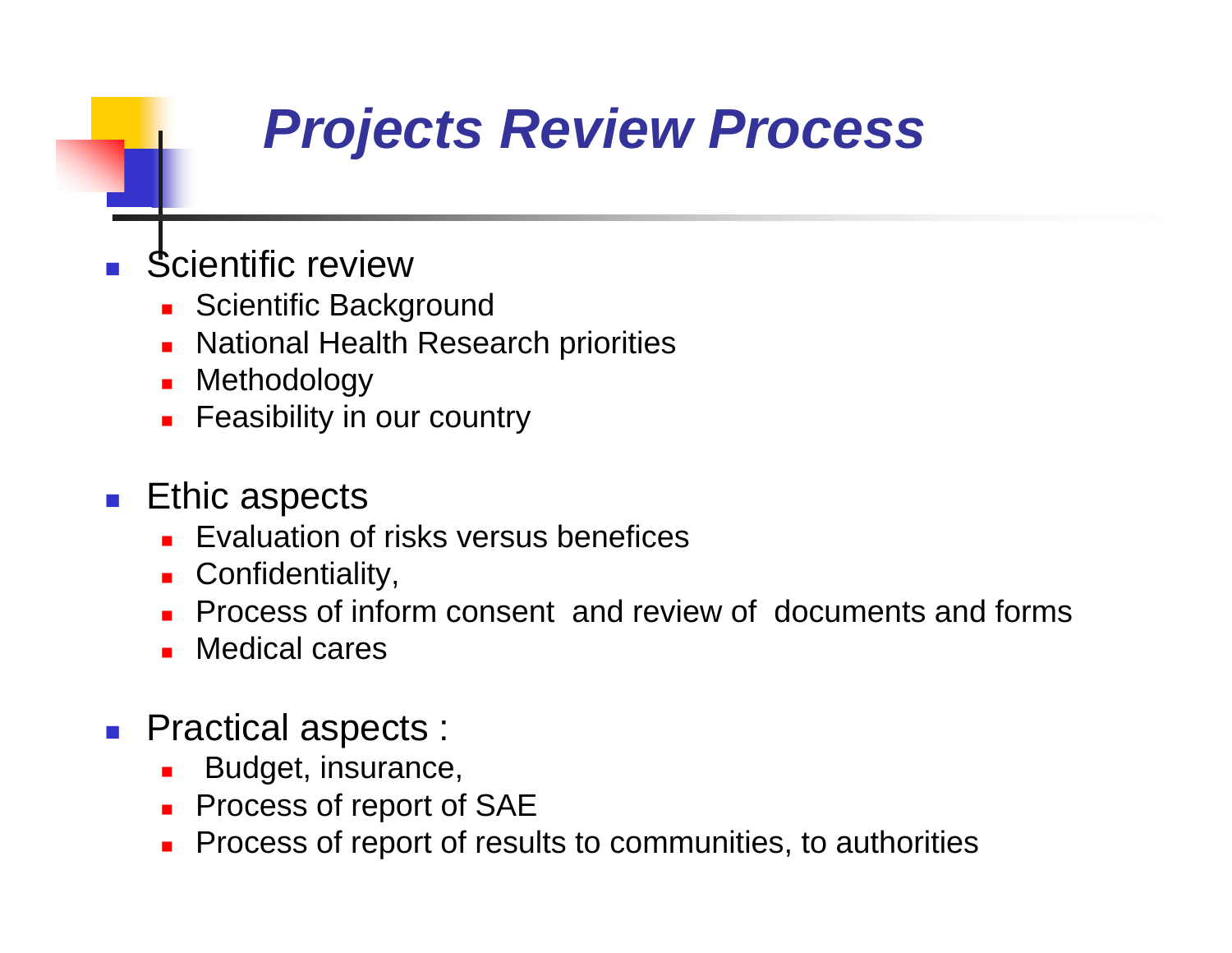# *Projects Review Process*

- П Scientific review
	- **Scientific Background**
	- L. National Health Research priorities
	- L. Methodology
	- L. Feasibility in our country

#### $\blacksquare$  Ethic aspects

- **Exaluation of risks versus benefices**
- **Confidentiality,**
- П Process of inform consent and review of documents and forms
- П Medical cares
- **Practical aspects:** 
	- Budget, insurance,
	- $\mathbf{r}$ Process of report of SAE
	- Process of report of results to communities, to authorities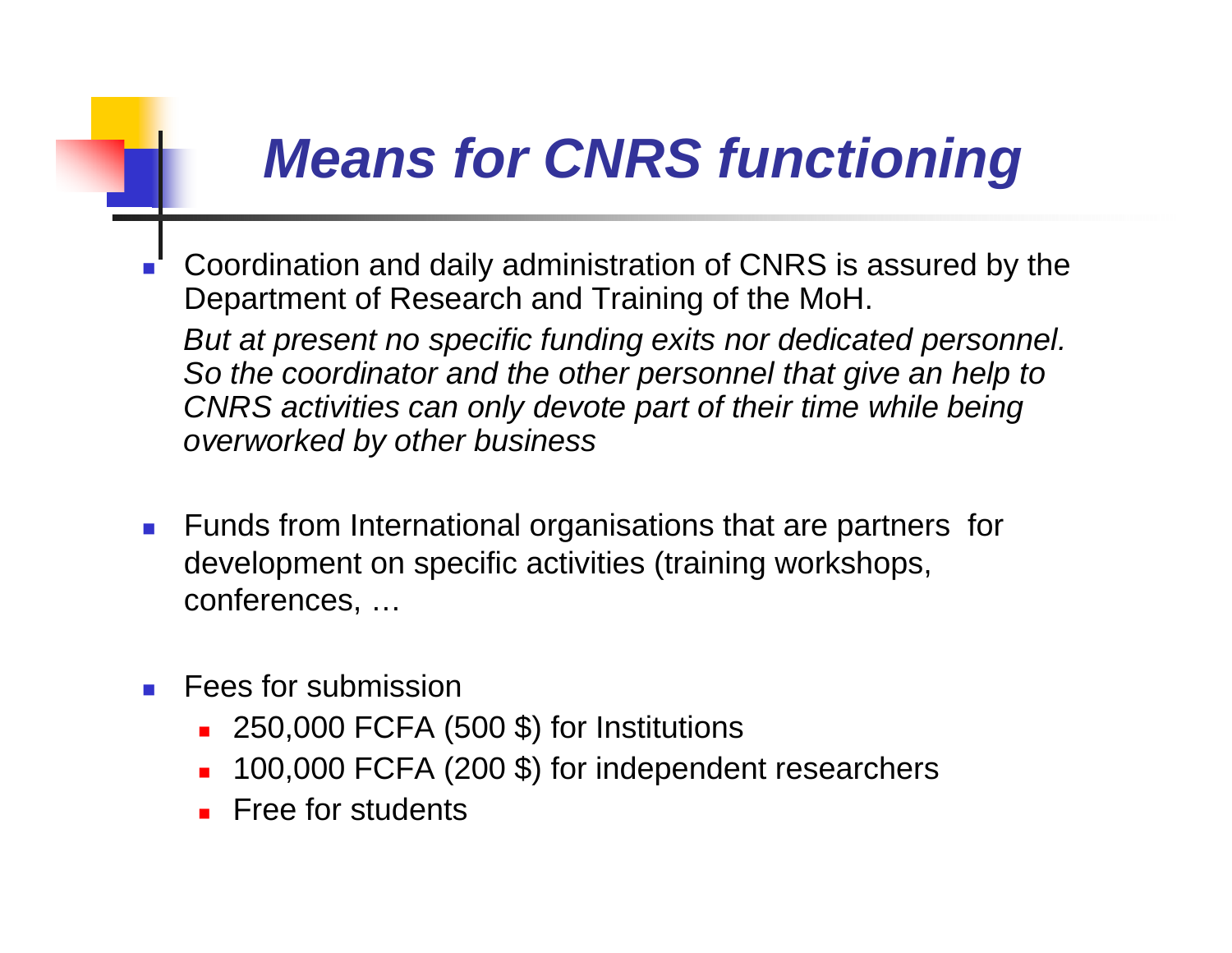## *Means for CNRS functioning*

- Coordination and daily administration of CNRS is assured by the Department of Research and Training of the MoH. *But at present no specific funding exits nor dedicated personnel. So the coordinator and the other personnel that give an help to CNRS activities can only devote part of their time while being overworked by other business*
- **Funds from International organisations that are partners for** development on specific activities (training workshops, conferences, …
- L Fees for submission
	- 250,000 FCFA (500 \$) for Institutions
	- П 100,000 FCFA (200 \$) for independent researchers
	- **Free for students**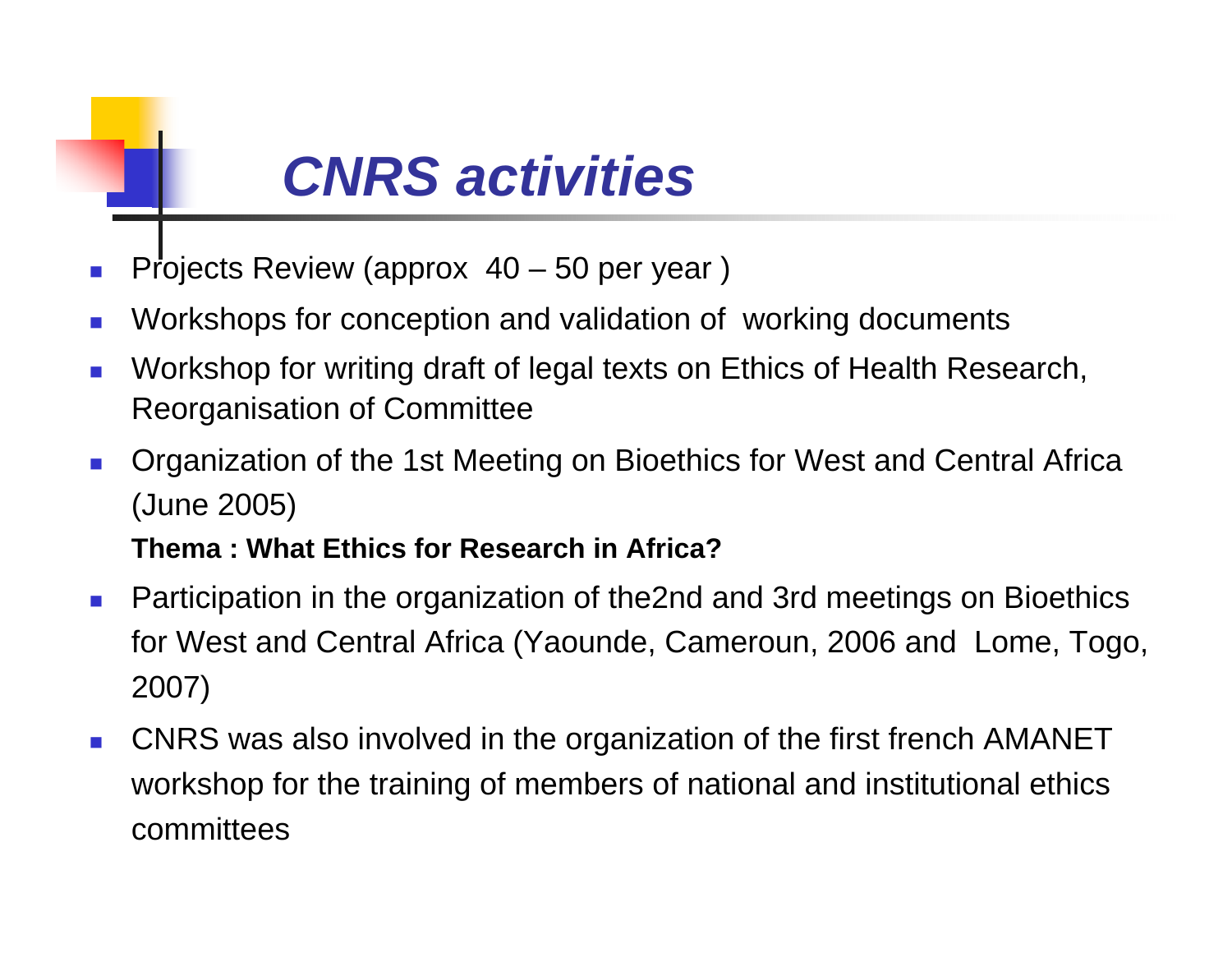# *CNRS activities*

- $\mathbb{R}^3$ Projects Review (approx 40 – 50 per year)
- **COL** Workshops for conception and validation of working documents
- × Workshop for writing draft of legal texts on Ethics of Health Research, Reorganisation of Committee
- $\mathcal{L}^{\mathcal{L}}$  Organization of the 1st Meeting on Bioethics for West and Central Africa (June 2005)

#### **Thema : What Ethics for Research in Africa?**

- $\overline{\phantom{a}}$  Participation in the organization of the2nd and 3rd meetings on Bioethics for West and Central Africa (Yaounde, Cameroun, 2006 and Lome, Togo, 2007)
- $\mathcal{C}^{\mathcal{A}}$  CNRS was also involved in the organization of the first french AMANET workshop for the training of members of national and institutional ethics committees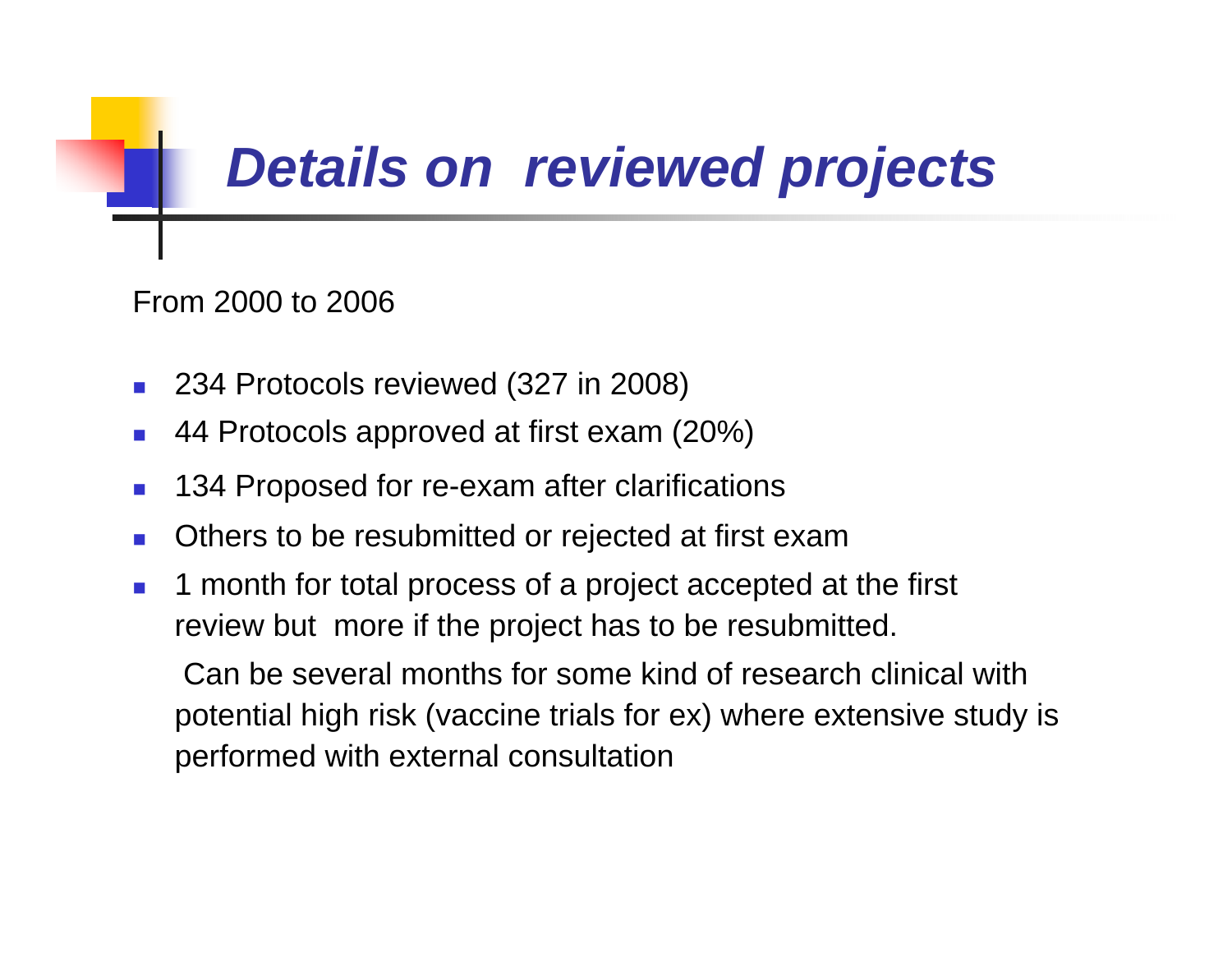## *Details on reviewed projects*

From 2000 to 2006

- 234 Protocols reviewed (327 in 2008)
- П 44 Protocols approved at first exam (20%)
- $\mathcal{L}_{\mathcal{A}}$ 134 Proposed for re-exam after clarifications
- $\sim 1$ Others to be resubmitted or rejected at first exam
- $\mathcal{C}^{\mathcal{A}}$  1 month for total process of a project accepted at the first review but more if the project has to be resubmitted.

Can be several months for some kind of research clinical with potential high risk (vaccine trials for ex) where extensive study is performed with external consultation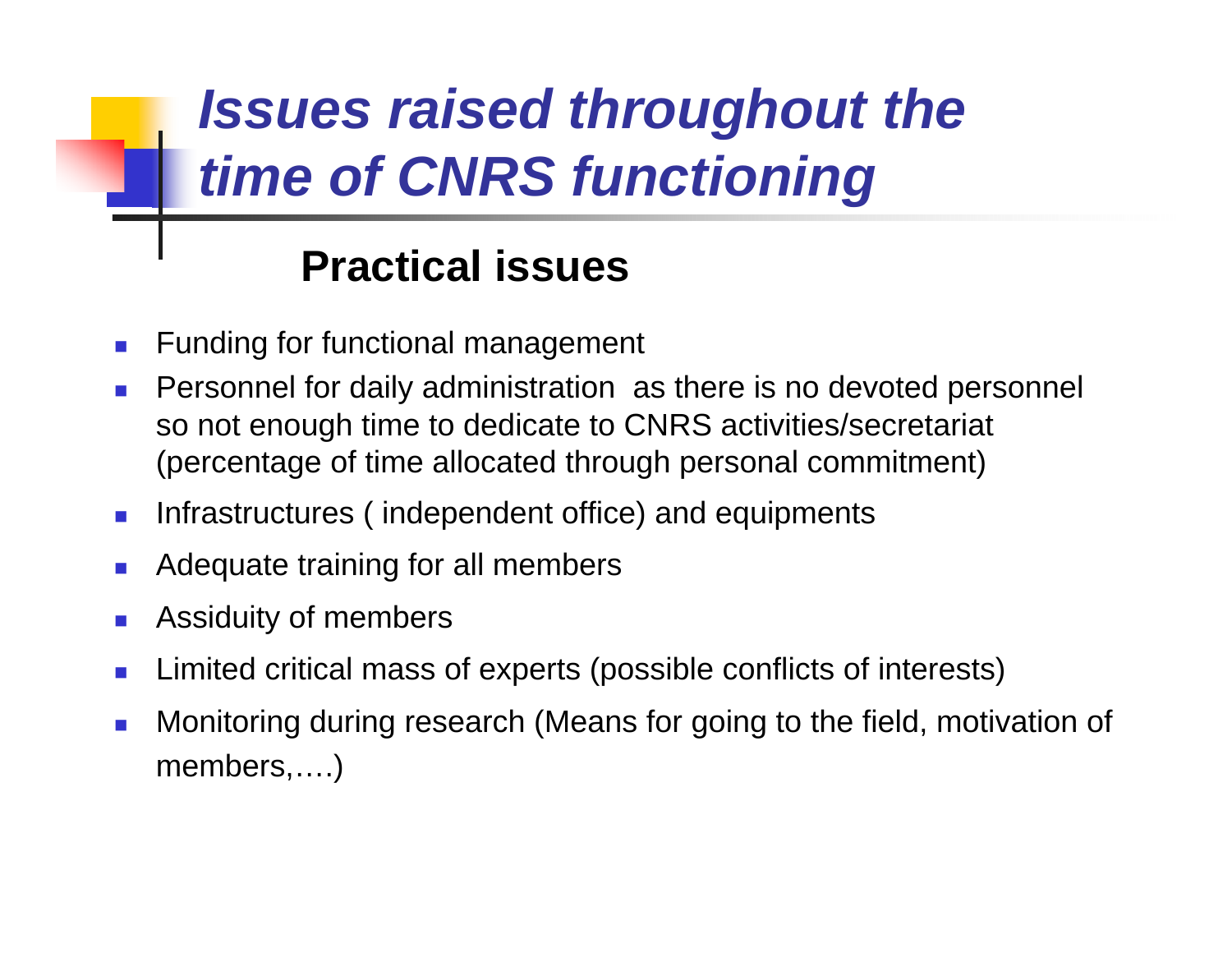## *Issues raised throughout the time of CNRS functioning*

## **Practical issues**

- П Funding for functional management
- $\mathcal{L}_{\mathcal{A}}$  Personnel for daily administration as there is no devoted personnel so not enough time to dedicate to CNRS activities/secretariat (percentage of time allocated through personal commitment)
- $\langle \cdot \rangle$ Infrastructures ( independent office) and equipments
- Adequate training for all members
- $\mathcal{A}$ Assiduity of members
- M. Limited critical mass of experts (possible conflicts of interests)
- Monitoring during research (Means for going to the field, motivation of members,….)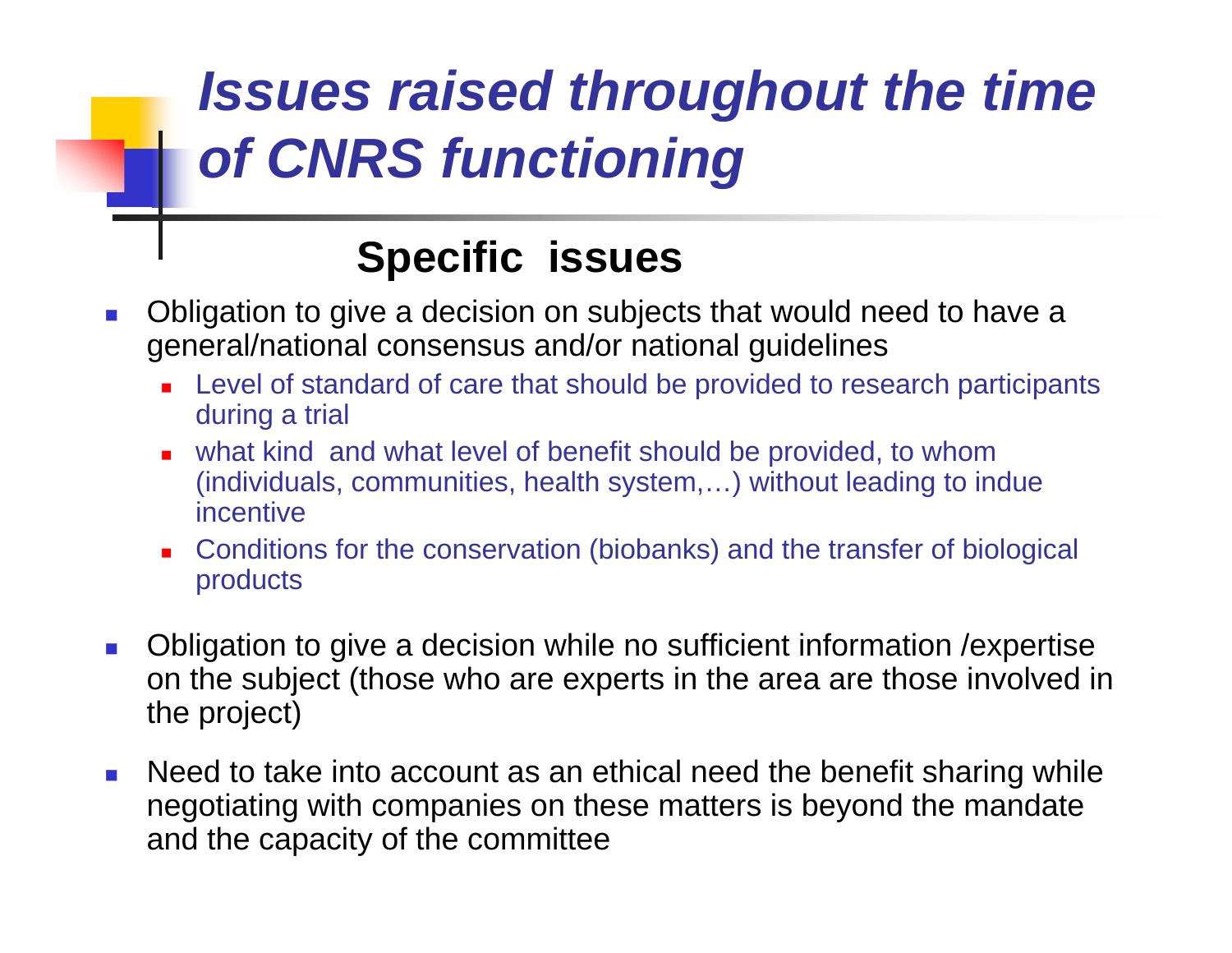## *Issues raised throughout the time of CNRS functioning*

## **Specific issues**

- $\mathcal{L}_{\mathcal{A}}$  Obligation to give a decision on subjects that would need to have a general/national consensus and/or national guidelines
	- П Level of standard of care that should be provided to research participants during a trial
	- $\blacksquare$  what kind and what level of benefit should be provided, to whom (individuals, communities, health system,…) without leading to indue incentive
	- П Conditions for the conservation (biobanks) and the transfer of biological products
- $\mathcal{L}_{\mathcal{A}}$  Obligation to give a decision while no sufficient information /expertise on the subject (those who are experts in the area are those involved in the project)
- $\mathcal{L}_{\mathcal{A}}$  Need to take into account as an ethical need the benefit sharing while negotiating with companies on these matters is beyond the mandate and the capacity of the committee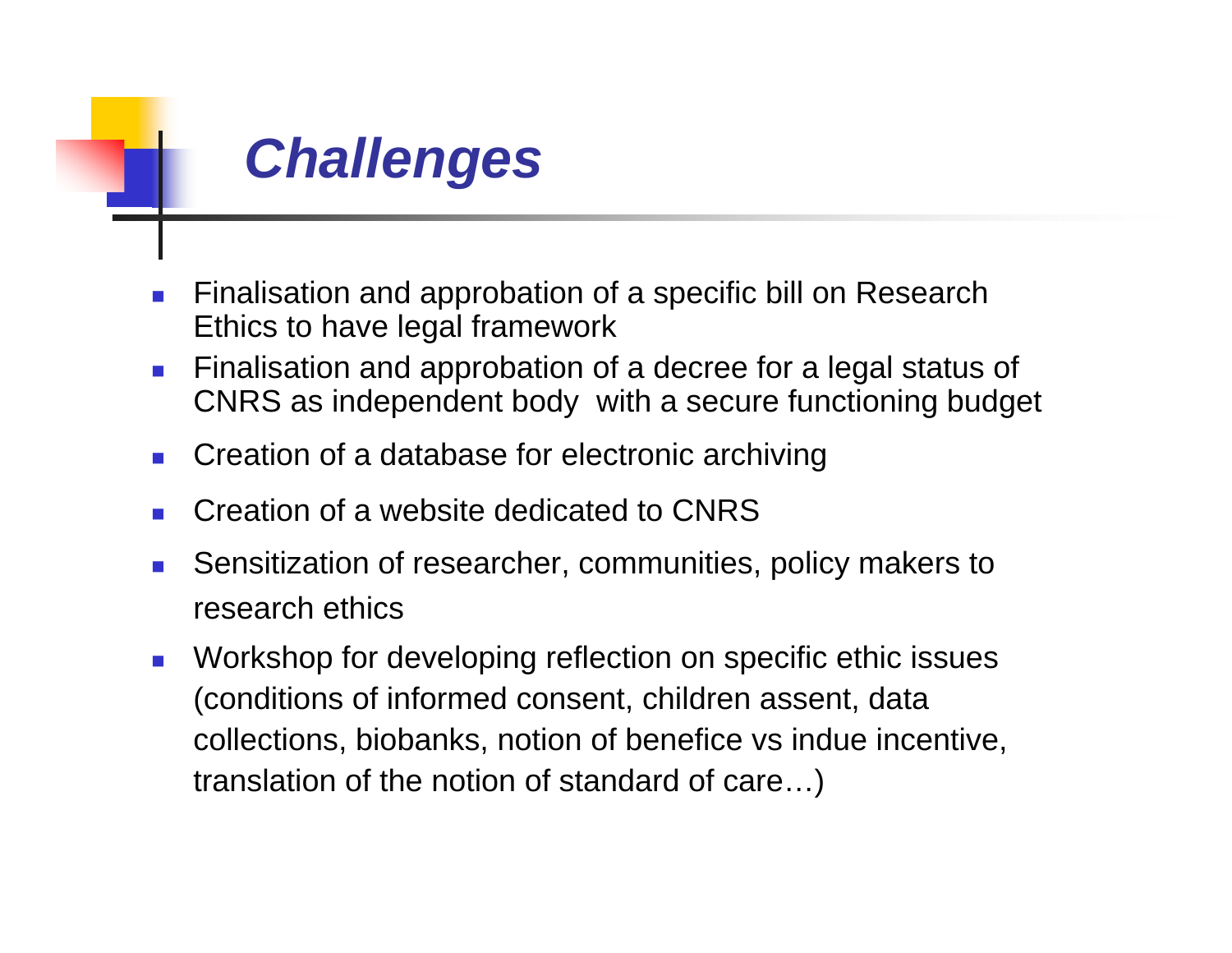

- $\mathcal{C}^{\mathcal{A}}$  Finalisation and approbation of a specific bill on Research Ethics to have legal framework
- $\mathcal{L}_{\mathcal{A}}$  Finalisation and approbation of a decree for a legal status of CNRS as independent body with a secure functioning budget
- $\mathcal{L}_{\mathcal{A}}$ Creation of a database for electronic archiving
- M. Creation of a website dedicated to CNRS
- Sensitization of researcher, communities, policy makers to research ethics
- $\mathcal{L}_{\mathcal{A}}$  Workshop for developing reflection on specific ethic issues (conditions of informed consent, children assent, data collections, biobanks, notion of benefice vs indue incentive, translation of the notion of standard of care…)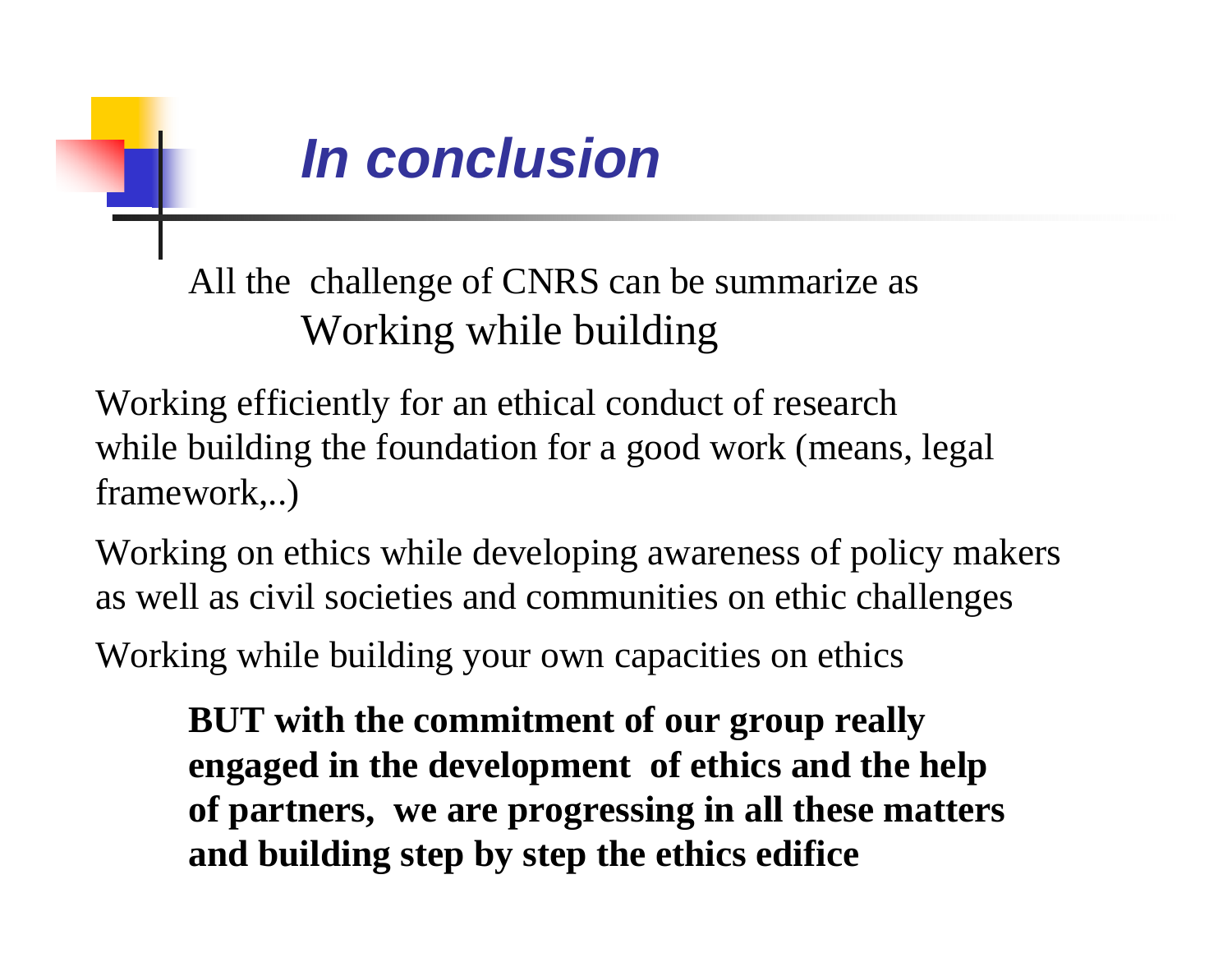

All the challenge of CNRS can be summarize as Working while building

Working efficiently for an ethical conduct of research while building the foundation for a good work (means, legal framework,..)

Working on ethics while developing awareness of policy makers as well as civil societies and communities on ethic challenges

Working while building your own capacities on ethics

**BUT with the commitment of our group really engaged in the development of ethics and the help of partners, we are progressing in all these matters and building step by step the ethics edifice**